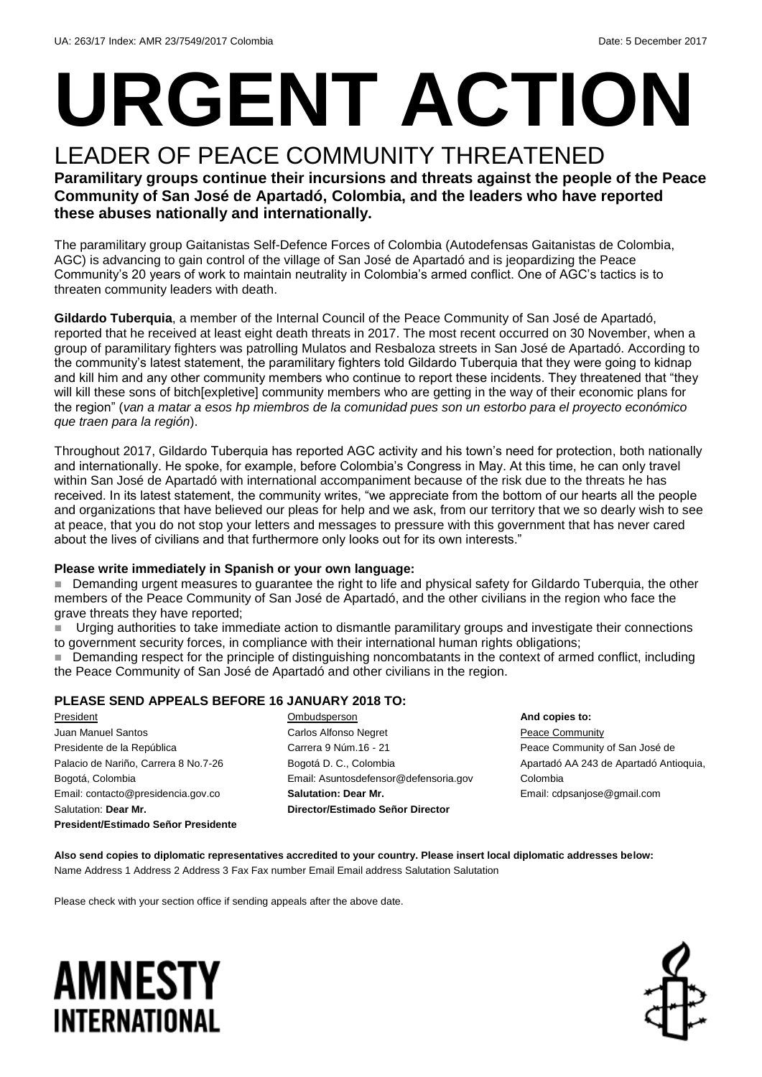# **URGENT ACTION**

#### LEADER OF PEACE COMMUNITY THREATENED **Paramilitary groups continue their incursions and threats against the people of the Peace Community of San José de Apartadó, Colombia, and the leaders who have reported these abuses nationally and internationally.**

The paramilitary group Gaitanistas Self-Defence Forces of Colombia (Autodefensas Gaitanistas de Colombia, AGC) is advancing to gain control of the village of San José de Apartadó and is jeopardizing the Peace Community's 20 years of work to maintain neutrality in Colombia's armed conflict. One of AGC's tactics is to threaten community leaders with death.

**Gildardo Tuberquia**, a member of the Internal Council of the Peace Community of San José de Apartadó, reported that he received at least eight death threats in 2017. The most recent occurred on 30 November, when a group of paramilitary fighters was patrolling Mulatos and Resbaloza streets in San José de Apartadó. According to the community's latest statement, the paramilitary fighters told Gildardo Tuberquia that they were going to kidnap and kill him and any other community members who continue to report these incidents. They threatened that "they will kill these sons of bitch[expletive] community members who are getting in the way of their economic plans for the region" (*van a matar a esos hp miembros de la comunidad pues son un estorbo para el proyecto económico que traen para la región*).

Throughout 2017, Gildardo Tuberquia has reported AGC activity and his town's need for protection, both nationally and internationally. He spoke, for example, before Colombia's Congress in May. At this time, he can only travel within San José de Apartadó with international accompaniment because of the risk due to the threats he has received. In its latest statement, the community writes, "we appreciate from the bottom of our hearts all the people and organizations that have believed our pleas for help and we ask, from our territory that we so dearly wish to see at peace, that you do not stop your letters and messages to pressure with this government that has never cared about the lives of civilians and that furthermore only looks out for its own interests."

#### **Please write immediately in Spanish or your own language:**

Demanding urgent measures to guarantee the right to life and physical safety for Gildardo Tuberquia, the other members of the Peace Community of San José de Apartadó, and the other civilians in the region who face the grave threats they have reported;

 Urging authorities to take immediate action to dismantle paramilitary groups and investigate their connections to government security forces, in compliance with their international human rights obligations;

**Demanding respect for the principle of distinguishing noncombatants in the context of armed conflict, including** the Peace Community of San José de Apartadó and other civilians in the region.

#### **PLEASE SEND APPEALS BEFORE 16 JANUARY 2018 TO:**

President Juan Manuel Santos Presidente de la República Palacio de Nariño, Carrera 8 No.7-26 Bogotá, Colombia Email: contacto@presidencia.gov.co Salutation: **Dear Mr. President/Estimado Señor Presidente** **Ombudsperson** Carlos Alfonso Negret Carrera 9 Núm.16 - 21 Bogotá D. C., Colombia Email: Asuntosdefensor@defensoria.gov **Salutation: Dear Mr. Director/Estimado Señor Director**

**And copies to: Peace Community** Peace Community of San José de Apartadó AA 243 de Apartadó Antioquia, Colombia Email: cdpsanjose@gmail.com

**Also send copies to diplomatic representatives accredited to your country. Please insert local diplomatic addresses below:** Name Address 1 Address 2 Address 3 Fax Fax number Email Email address Salutation Salutation

Please check with your section office if sending appeals after the above date.